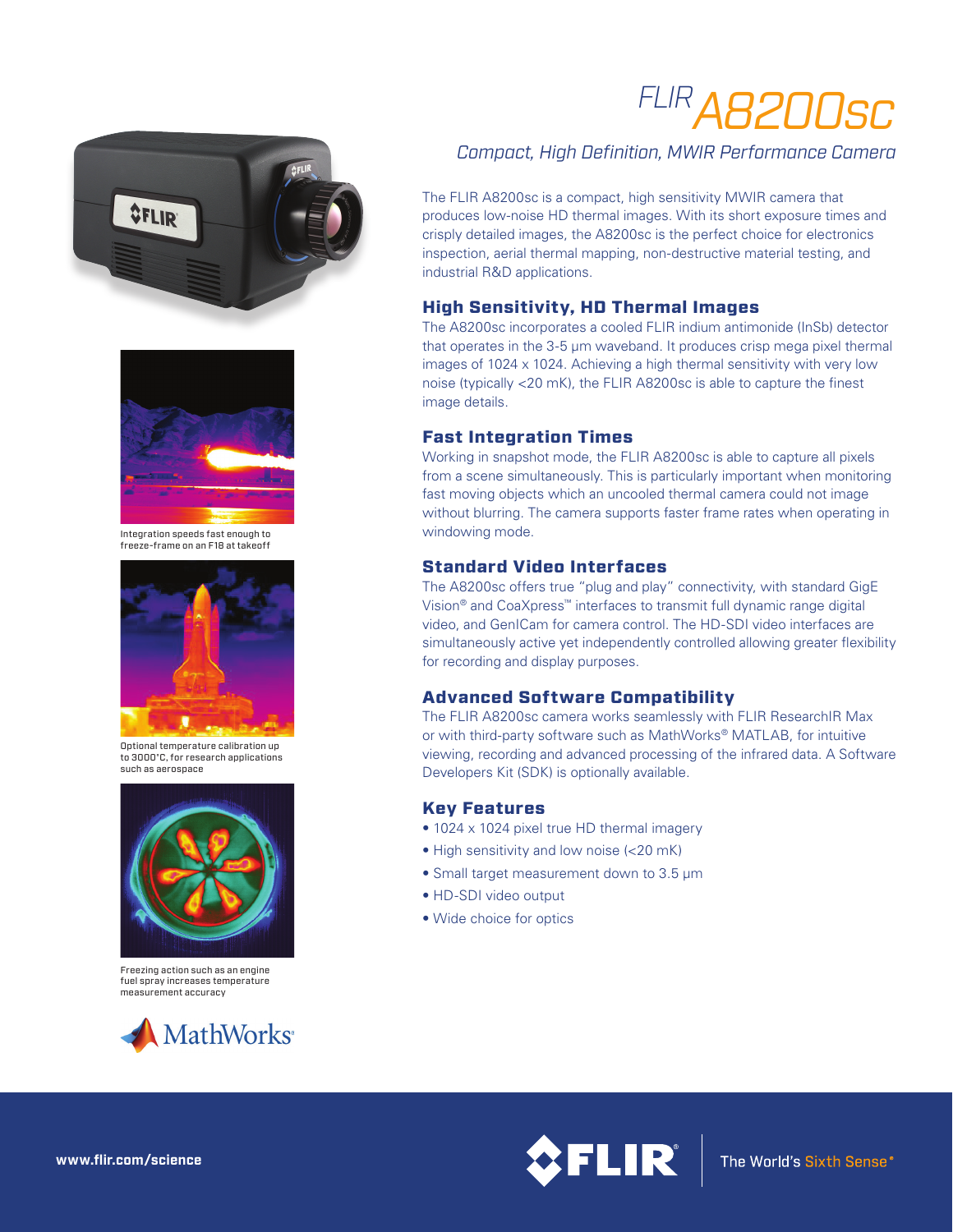# *FLIRA8200sc*





Integration speeds fast enough to freeze-frame on an F18 at takeoff



Optional temperature calibration up to 3000°C, for research applications such as aerospace



Freezing action such as an engine fuel spray increases temperature measurement accuracy



# *Compact, High Definition, MWIR Performance Camera*

The FLIR A8200sc is a compact, high sensitivity MWIR camera that produces low-noise HD thermal images. With its short exposure times and crisply detailed images, the A8200sc is the perfect choice for electronics inspection, aerial thermal mapping, non-destructive material testing, and industrial R&D applications.

## High Sensitivity, HD Thermal Images

The A8200sc incorporates a cooled FLIR indium antimonide (InSb) detector that operates in the 3-5 µm waveband. It produces crisp mega pixel thermal images of 1024 x 1024. Achieving a high thermal sensitivity with very low noise (typically <20 mK), the FLIR A8200sc is able to capture the finest image details.

#### Fast Integration Times

Working in snapshot mode, the FLIR A8200sc is able to capture all pixels from a scene simultaneously. This is particularly important when monitoring fast moving objects which an uncooled thermal camera could not image without blurring. The camera supports faster frame rates when operating in windowing mode.

### Standard Video Interfaces

The A8200sc offers true "plug and play" connectivity, with standard GigE Vision® and CoaXpress™ interfaces to transmit full dynamic range digital video, and GenICam for camera control. The HD-SDI video interfaces are simultaneously active yet independently controlled allowing greater flexibility for recording and display purposes.

### Advanced Software Compatibility

The FLIR A8200sc camera works seamlessly with FLIR ResearchIR Max or with third-party software such as MathWorks® MATLAB, for intuitive viewing, recording and advanced processing of the infrared data. A Software Developers Kit (SDK) is optionally available.

### Key Features

- 1024 x 1024 pixel true HD thermal imagery
- High sensitivity and low noise (<20 mK)
- Small target measurement down to 3.5 μm
- HD-SDI video output
- Wide choice for optics